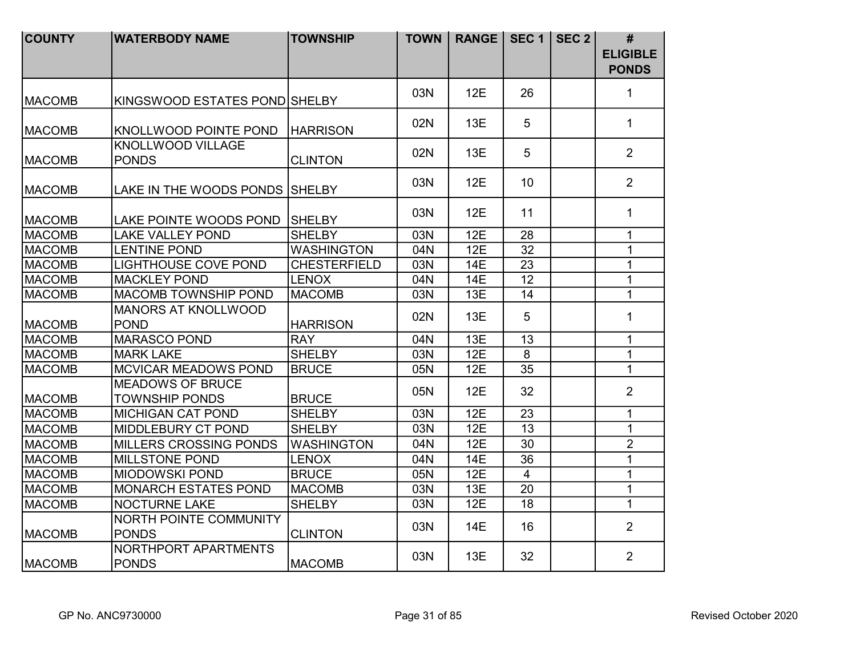| <b>COUNTY</b> | <b>WATERBODY NAME</b>                            | <b>TOWNSHIP</b>     | <b>TOWN</b> | <b>RANGE</b> | SEC <sub>1</sub> | SEC <sub>2</sub> | #<br><b>ELIGIBLE</b> |
|---------------|--------------------------------------------------|---------------------|-------------|--------------|------------------|------------------|----------------------|
|               |                                                  |                     |             |              |                  |                  | <b>PONDS</b>         |
| <b>MACOMB</b> | KINGSWOOD ESTATES POND SHELBY                    |                     | 03N         | 12E          | 26               |                  | $\mathbf{1}$         |
| <b>MACOMB</b> | <b>KNOLLWOOD POINTE POND</b>                     | <b>HARRISON</b>     | 02N         | 13E          | 5                |                  | $\mathbf{1}$         |
| <b>MACOMB</b> | <b>KNOLLWOOD VILLAGE</b><br><b>PONDS</b>         | <b>CLINTON</b>      | 02N         | 13E          | 5                |                  | 2                    |
| <b>MACOMB</b> | LAKE IN THE WOODS PONDS SHELBY                   |                     | 03N         | 12E          | 10 <sup>1</sup>  |                  | $\overline{2}$       |
| <b>MACOMB</b> | <b>LAKE POINTE WOODS POND</b>                    | <b>SHELBY</b>       | 03N         | 12E          | 11               |                  | $\mathbf{1}$         |
| <b>MACOMB</b> | <b>LAKE VALLEY POND</b>                          | <b>SHELBY</b>       | 03N         | 12E          | 28               |                  | $\mathbf{1}$         |
| <b>MACOMB</b> | <b>LENTINE POND</b>                              | <b>WASHINGTON</b>   | 04N         | 12E          | 32               |                  | $\mathbf 1$          |
| <b>MACOMB</b> | <b>LIGHTHOUSE COVE POND</b>                      | <b>CHESTERFIELD</b> | 03N         | <b>14E</b>   | 23               |                  | $\mathbf{1}$         |
| <b>MACOMB</b> | <b>MACKLEY POND</b>                              | <b>LENOX</b>        | 04N         | 14E          | 12               |                  | $\mathbf{1}$         |
| <b>MACOMB</b> | <b>MACOMB TOWNSHIP POND</b>                      | <b>MACOMB</b>       | 03N         | 13E          | 14               |                  | $\mathbf 1$          |
| <b>MACOMB</b> | <b>MANORS AT KNOLLWOOD</b><br><b>POND</b>        | <b>HARRISON</b>     | 02N         | 13E          | 5                |                  | $\mathbf{1}$         |
| <b>MACOMB</b> | <b>MARASCO POND</b>                              | <b>RAY</b>          | 04N         | 13E          | 13               |                  | $\mathbf{1}$         |
| <b>MACOMB</b> | <b>MARK LAKE</b>                                 | <b>SHELBY</b>       | 03N         | 12E          | 8                |                  | $\mathbf{1}$         |
| <b>MACOMB</b> | <b>MCVICAR MEADOWS POND</b>                      | <b>BRUCE</b>        | 05N         | 12E          | 35               |                  | $\mathbf{1}$         |
| <b>MACOMB</b> | <b>MEADOWS OF BRUCE</b><br><b>TOWNSHIP PONDS</b> | <b>BRUCE</b>        | 05N         | 12E          | 32               |                  | $\overline{2}$       |
| <b>MACOMB</b> | <b>MICHIGAN CAT POND</b>                         | <b>SHELBY</b>       | 03N         | 12E          | 23               |                  | $\mathbf{1}$         |
| <b>MACOMB</b> | MIDDLEBURY CT POND                               | <b>SHELBY</b>       | 03N         | 12E          | 13               |                  | $\mathbf{1}$         |
| <b>MACOMB</b> | MILLERS CROSSING PONDS                           | <b>WASHINGTON</b>   | 04N         | 12E          | 30               |                  | $\overline{2}$       |
| <b>MACOMB</b> | <b>MILLSTONE POND</b>                            | <b>LENOX</b>        | 04N         | <b>14E</b>   | 36               |                  | $\overline{1}$       |
| <b>MACOMB</b> | <b>MIODOWSKI POND</b>                            | <b>BRUCE</b>        | 05N         | 12E          | $\overline{4}$   |                  | $\mathbf{1}$         |
| <b>MACOMB</b> | <b>MONARCH ESTATES POND</b>                      | <b>MACOMB</b>       | 03N         | 13E          | 20               |                  | $\mathbf{1}$         |
| <b>MACOMB</b> | <b>NOCTURNE LAKE</b>                             | <b>SHELBY</b>       | 03N         | 12E          | 18               |                  | $\mathbf{1}$         |
| <b>MACOMB</b> | NORTH POINTE COMMUNITY<br><b>PONDS</b>           | <b>CLINTON</b>      | 03N         | 14E          | 16               |                  | $\overline{2}$       |
| <b>MACOMB</b> | NORTHPORT APARTMENTS<br><b>PONDS</b>             | <b>MACOMB</b>       | 03N         | 13E          | 32               |                  | $\overline{2}$       |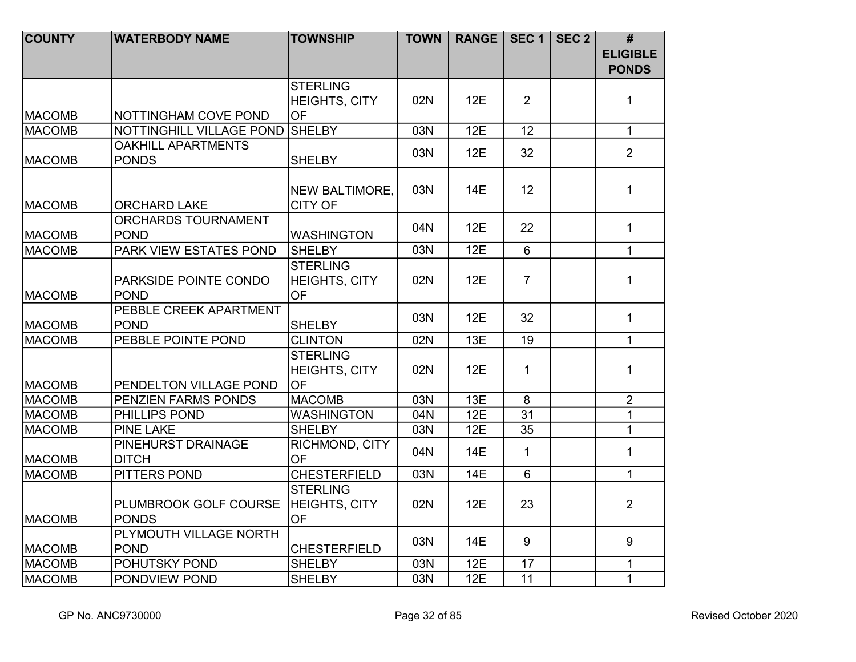| <b>COUNTY</b>                  | <b>WATERBODY NAME</b>                 | <b>TOWNSHIP</b>                      | <b>TOWN</b> | RANGE   SEC 1   SEC 2 |                | #                               |
|--------------------------------|---------------------------------------|--------------------------------------|-------------|-----------------------|----------------|---------------------------------|
|                                |                                       |                                      |             |                       |                | <b>ELIGIBLE</b><br><b>PONDS</b> |
|                                |                                       | <b>STERLING</b>                      |             |                       |                |                                 |
|                                |                                       | HEIGHTS, CITY                        | 02N         | 12E                   | 2              | $\mathbf{1}$                    |
| <b>MACOMB</b>                  | NOTTINGHAM COVE POND                  | OF                                   |             |                       |                |                                 |
| <b>MACOMB</b>                  | NOTTINGHILL VILLAGE POND SHELBY       |                                      | 03N         | 12E                   | 12             | $\mathbf{1}$                    |
|                                | <b>OAKHILL APARTMENTS</b>             |                                      | 03N         | 12E                   | 32             | $\overline{2}$                  |
| <b>MACOMB</b>                  | <b>PONDS</b>                          | <b>SHELBY</b>                        |             |                       |                |                                 |
|                                |                                       |                                      |             |                       | 12             | $\mathbf{1}$                    |
| <b>MACOMB</b>                  | <b>ORCHARD LAKE</b>                   | NEW BALTIMORE,<br><b>CITY OF</b>     | 03N         | 14E                   |                |                                 |
|                                | ORCHARDS TOURNAMENT                   |                                      |             |                       |                |                                 |
| <b>MACOMB</b>                  | <b>POND</b>                           | <b>WASHINGTON</b>                    | 04N         | 12E                   | 22             | $\mathbf{1}$                    |
| <b>MACOMB</b>                  | PARK VIEW ESTATES POND                | <b>SHELBY</b>                        | 03N         | 12E                   | $6\phantom{1}$ | $\mathbf{1}$                    |
|                                |                                       | <b>STERLING</b>                      |             |                       |                |                                 |
|                                | PARKSIDE POINTE CONDO                 | <b>HEIGHTS, CITY</b>                 | 02N         | 12E                   | $\overline{7}$ | $\mathbf{1}$                    |
| <b>MACOMB</b>                  | <b>POND</b>                           | <b>OF</b>                            |             |                       |                |                                 |
|                                | PEBBLE CREEK APARTMENT                |                                      |             |                       |                |                                 |
| <b>MACOMB</b>                  | <b>POND</b>                           | <b>SHELBY</b>                        | 03N         | 12E                   | 32             | $\mathbf{1}$                    |
| <b>MACOMB</b>                  | PEBBLE POINTE POND                    | <b>CLINTON</b>                       | 02N         | 13E                   | 19             | $\mathbf{1}$                    |
|                                |                                       | <b>STERLING</b>                      |             |                       |                |                                 |
|                                |                                       | HEIGHTS, CITY                        | 02N         | 12E                   | $\mathbf{1}$   | $\mathbf{1}$                    |
| <b>MACOMB</b>                  | PENDELTON VILLAGE POND                | <b>OF</b>                            |             |                       |                |                                 |
| <b>MACOMB</b>                  | PENZIEN FARMS PONDS                   | <b>MACOMB</b>                        | 03N         | 13E                   | 8              | $\overline{2}$                  |
| <b>MACOMB</b>                  | PHILLIPS POND                         | <b>WASHINGTON</b>                    | 04N         | 12E                   | 31             | $\mathbf{1}$                    |
| <b>MACOMB</b>                  | <b>PINE LAKE</b>                      | <b>SHELBY</b>                        | 03N         | 12E                   | 35             | $\mathbf{1}$                    |
|                                | PINEHURST DRAINAGE                    | RICHMOND, CITY                       | 04N         | 14E                   | $\mathbf{1}$   | $\mathbf{1}$                    |
| <b>MACOMB</b>                  | <b>DITCH</b>                          | <b>OF</b>                            |             |                       |                |                                 |
| <b>MACOMB</b>                  | <b>PITTERS POND</b>                   | <b>CHESTERFIELD</b>                  | 03N         | <b>14E</b>            | $\overline{6}$ | $\mathbf{1}$                    |
|                                |                                       | <b>STERLING</b>                      |             |                       |                |                                 |
|                                | PLUMBROOK GOLF COURSE                 | <b>HEIGHTS, CITY</b>                 | 02N         | 12E                   | 23             | $\overline{2}$                  |
| <b>MACOMB</b>                  | PONDS                                 | <b>OF</b>                            |             |                       |                |                                 |
|                                | PLYMOUTH VILLAGE NORTH<br><b>POND</b> |                                      | 03N         | 14E                   | 9              | 9                               |
| <b>MACOMB</b><br><b>MACOMB</b> | POHUTSKY POND                         | <b>CHESTERFIELD</b><br><b>SHELBY</b> | 03N         | 12E                   | 17             | $\mathbf{1}$                    |
| <b>MACOMB</b>                  | PONDVIEW POND                         | <b>SHELBY</b>                        | 03N         | 12E                   | 11             | $\mathbf{1}$                    |
|                                |                                       |                                      |             |                       |                |                                 |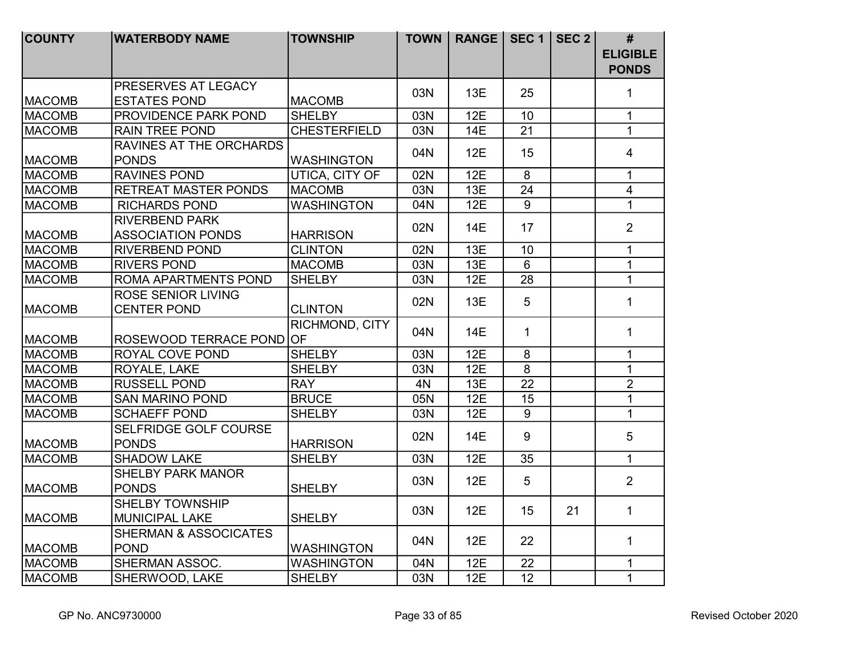| <b>COUNTY</b> | <b>WATERBODY NAME</b>                             | <b>TOWNSHIP</b>     | <b>TOWN</b> | RANGE   SEC 1   SEC 2 |                 |    | #                               |
|---------------|---------------------------------------------------|---------------------|-------------|-----------------------|-----------------|----|---------------------------------|
|               |                                                   |                     |             |                       |                 |    | <b>ELIGIBLE</b><br><b>PONDS</b> |
|               | PRESERVES AT LEGACY                               |                     | 03N         | 13E                   | 25              |    | 1                               |
| <b>MACOMB</b> | <b>ESTATES POND</b>                               | <b>MACOMB</b>       |             |                       |                 |    |                                 |
| <b>MACOMB</b> | PROVIDENCE PARK POND                              | <b>SHELBY</b>       | 03N         | 12E                   | 10              |    | $\mathbf{1}$                    |
| <b>MACOMB</b> | <b>RAIN TREE POND</b>                             | <b>CHESTERFIELD</b> | 03N         | <b>14E</b>            | 21              |    | $\mathbf{1}$                    |
|               | RAVINES AT THE ORCHARDS                           |                     | 04N         | 12E                   | 15              |    | $\overline{4}$                  |
| <b>MACOMB</b> | <b>PONDS</b>                                      | <b>WASHINGTON</b>   |             |                       |                 |    |                                 |
| <b>MACOMB</b> | <b>RAVINES POND</b>                               | UTICA, CITY OF      | 02N         | 12E                   | 8               |    | $\mathbf{1}$                    |
| <b>MACOMB</b> | <b>RETREAT MASTER PONDS</b>                       | <b>MACOMB</b>       | 03N         | 13E                   | 24              |    | $\overline{4}$                  |
| <b>MACOMB</b> | <b>RICHARDS POND</b>                              | <b>WASHINGTON</b>   | 04N         | 12E                   | 9               |    | $\mathbf 1$                     |
| <b>MACOMB</b> | <b>RIVERBEND PARK</b><br><b>ASSOCIATION PONDS</b> | <b>HARRISON</b>     | 02N         | <b>14E</b>            | 17              |    | $\overline{2}$                  |
| <b>MACOMB</b> | <b>RIVERBEND POND</b>                             | <b>CLINTON</b>      | 02N         | 13E                   | 10              |    | $\mathbf{1}$                    |
| <b>MACOMB</b> | <b>RIVERS POND</b>                                | <b>MACOMB</b>       | 03N         | 13E                   | 6               |    | $\mathbf{1}$                    |
| <b>MACOMB</b> | ROMA APARTMENTS POND                              | <b>SHELBY</b>       | 03N         | 12E                   | 28              |    | $\mathbf{1}$                    |
| <b>MACOMB</b> | <b>ROSE SENIOR LIVING</b><br><b>CENTER POND</b>   | <b>CLINTON</b>      | 02N         | 13E                   | 5               |    | 1                               |
| <b>MACOMB</b> | ROSEWOOD TERRACE POND OF                          | RICHMOND, CITY      | 04N         | 14E                   | $\mathbf{1}$    |    | $\mathbf{1}$                    |
| <b>MACOMB</b> | ROYAL COVE POND                                   | <b>SHELBY</b>       | 03N         | 12E                   | 8               |    | $\mathbf{1}$                    |
| <b>MACOMB</b> | ROYALE, LAKE                                      | <b>SHELBY</b>       | 03N         | 12E                   | $\overline{8}$  |    | $\mathbf{1}$                    |
| <b>MACOMB</b> | <b>RUSSELL POND</b>                               | <b>RAY</b>          | 4N          | 13E                   | $\overline{22}$ |    | $\overline{2}$                  |
| <b>MACOMB</b> | <b>SAN MARINO POND</b>                            | <b>BRUCE</b>        | 05N         | 12E                   | 15              |    | $\mathbf{1}$                    |
| <b>MACOMB</b> | <b>SCHAEFF POND</b>                               | <b>SHELBY</b>       | 03N         | 12E                   | 9               |    | $\mathbf{1}$                    |
| <b>MACOMB</b> | SELFRIDGE GOLF COURSE<br><b>PONDS</b>             | <b>HARRISON</b>     | 02N         | 14E                   | 9               |    | 5                               |
| <b>MACOMB</b> | <b>SHADOW LAKE</b>                                | <b>SHELBY</b>       | 03N         | 12E                   | 35              |    | $\mathbf{1}$                    |
|               | <b>SHELBY PARK MANOR</b>                          |                     |             |                       |                 |    |                                 |
| <b>MACOMB</b> | <b>PONDS</b>                                      | <b>SHELBY</b>       | 03N         | 12E                   | 5               |    | $\overline{2}$                  |
| <b>MACOMB</b> | <b>SHELBY TOWNSHIP</b><br><b>MUNICIPAL LAKE</b>   | <b>SHELBY</b>       | 03N         | 12E                   | 15              | 21 | 1                               |
|               | <b>SHERMAN &amp; ASSOCICATES</b>                  |                     | 04N         | 12E                   | 22              |    | $\mathbf{1}$                    |
| <b>MACOMB</b> | <b>POND</b>                                       | <b>WASHINGTON</b>   |             |                       |                 |    |                                 |
| <b>MACOMB</b> | SHERMAN ASSOC.                                    | <b>WASHINGTON</b>   | 04N         | 12E                   | 22              |    | $\mathbf{1}$                    |
| <b>MACOMB</b> | SHERWOOD, LAKE                                    | <b>SHELBY</b>       | 03N         | 12E                   | 12              |    | $\mathbf{1}$                    |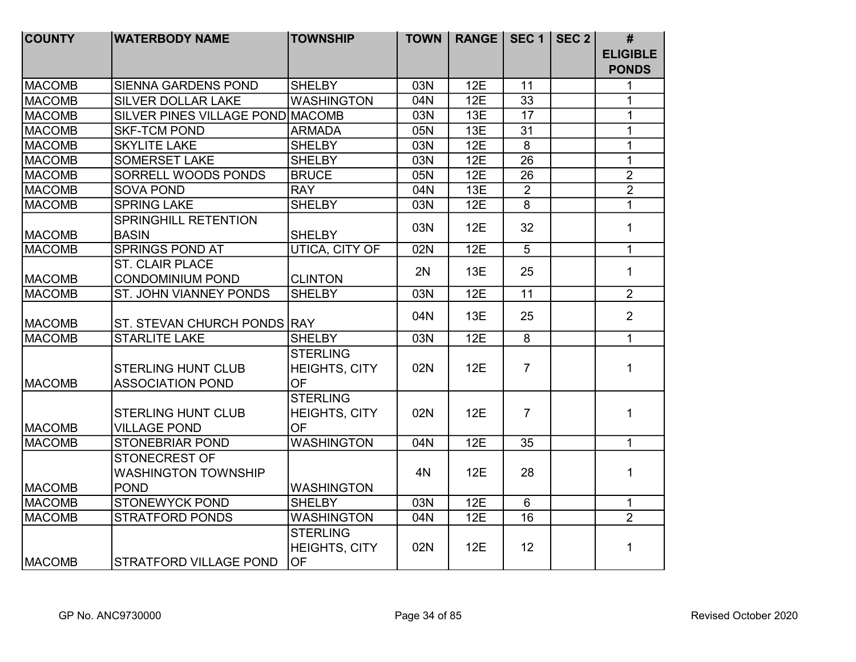| <b>COUNTY</b> | <b>WATERBODY NAME</b>                                      | <b>TOWNSHIP</b>                                      | <b>TOWN</b> | <b>RANGE</b> |                 | <b>SEC 1   SEC 2  </b> | #                               |
|---------------|------------------------------------------------------------|------------------------------------------------------|-------------|--------------|-----------------|------------------------|---------------------------------|
|               |                                                            |                                                      |             |              |                 |                        | <b>ELIGIBLE</b><br><b>PONDS</b> |
| <b>MACOMB</b> | <b>SIENNA GARDENS POND</b>                                 | <b>SHELBY</b>                                        | 03N         | 12E          | 11              |                        | 1                               |
| <b>MACOMB</b> | <b>SILVER DOLLAR LAKE</b>                                  | <b>WASHINGTON</b>                                    | 04N         | 12E          | 33              |                        | $\mathbf{1}$                    |
| <b>MACOMB</b> | SILVER PINES VILLAGE POND MACOMB                           |                                                      | 03N         | 13E          | 17              |                        | $\mathbf{1}$                    |
| <b>MACOMB</b> | <b>SKF-TCM POND</b>                                        | <b>ARMADA</b>                                        | 05N         | 13E          | $\overline{31}$ |                        | $\mathbf{1}$                    |
| <b>MACOMB</b> | <b>SKYLITE LAKE</b>                                        | <b>SHELBY</b>                                        | 03N         | 12E          | $\overline{8}$  |                        | $\mathbf{1}$                    |
| <b>MACOMB</b> | <b>SOMERSET LAKE</b>                                       | <b>SHELBY</b>                                        | 03N         | 12E          | $\overline{26}$ |                        | $\mathbf{1}$                    |
| <b>MACOMB</b> | SORRELL WOODS PONDS                                        | <b>BRUCE</b>                                         | 05N         | 12E          | $\overline{26}$ |                        | $\overline{2}$                  |
| <b>MACOMB</b> | <b>SOVA POND</b>                                           | <b>RAY</b>                                           | 04N         | 13E          | $\overline{2}$  |                        | $\overline{2}$                  |
| <b>MACOMB</b> | <b>SPRING LAKE</b>                                         | <b>SHELBY</b>                                        | 03N         | 12E          | $\overline{8}$  |                        | $\mathbf{1}$                    |
| <b>MACOMB</b> | SPRINGHILL RETENTION<br><b>BASIN</b>                       | <b>SHELBY</b>                                        | 03N         | 12E          | 32              |                        | $\mathbf{1}$                    |
| <b>MACOMB</b> | <b>SPRINGS POND AT</b>                                     | <b>UTICA, CITY OF</b>                                | 02N         | 12E          | $\overline{5}$  |                        | $\mathbf{1}$                    |
| <b>MACOMB</b> | <b>ST. CLAIR PLACE</b><br><b>CONDOMINIUM POND</b>          | <b>CLINTON</b>                                       | 2N          | 13E          | 25              |                        | $\mathbf{1}$                    |
| <b>MACOMB</b> | ST. JOHN VIANNEY PONDS                                     | <b>SHELBY</b>                                        | 03N         | 12E          | 11              |                        | $\overline{2}$                  |
| <b>MACOMB</b> | ST. STEVAN CHURCH PONDS RAY                                |                                                      | 04N         | 13E          | 25              |                        | $\overline{2}$                  |
| <b>MACOMB</b> | <b>STARLITE LAKE</b>                                       | <b>SHELBY</b>                                        | 03N         | 12E          | $\overline{8}$  |                        | $\mathbf{1}$                    |
| <b>MACOMB</b> | <b>STERLING HUNT CLUB</b><br><b>ASSOCIATION POND</b>       | <b>STERLING</b><br><b>HEIGHTS, CITY</b><br><b>OF</b> | 02N         | 12E          | $\overline{7}$  |                        | 1                               |
| <b>MACOMB</b> | <b>STERLING HUNT CLUB</b><br><b>VILLAGE POND</b>           | <b>STERLING</b><br>HEIGHTS, CITY<br><b>OF</b>        | 02N         | 12E          | $\overline{7}$  |                        | 1                               |
| <b>MACOMB</b> | <b>STONEBRIAR POND</b>                                     | <b>WASHINGTON</b>                                    | 04N         | 12E          | $\overline{35}$ |                        | $\mathbf{1}$                    |
| <b>MACOMB</b> | STONECREST OF<br><b>WASHINGTON TOWNSHIP</b><br><b>POND</b> | <b>WASHINGTON</b>                                    | 4N          | 12E          | 28              |                        | $\mathbf{1}$                    |
| <b>MACOMB</b> | <b>STONEWYCK POND</b>                                      | <b>SHELBY</b>                                        | 03N         | 12E          | $6\phantom{1}$  |                        | 1                               |
| <b>MACOMB</b> | <b>STRATFORD PONDS</b>                                     | <b>WASHINGTON</b>                                    | 04N         | 12E          | 16              |                        | $\overline{2}$                  |
| <b>MACOMB</b> | <b>STRATFORD VILLAGE POND</b>                              | <b>STERLING</b><br><b>HEIGHTS, CITY</b><br>OF        | 02N         | 12E          | 12              |                        | 1                               |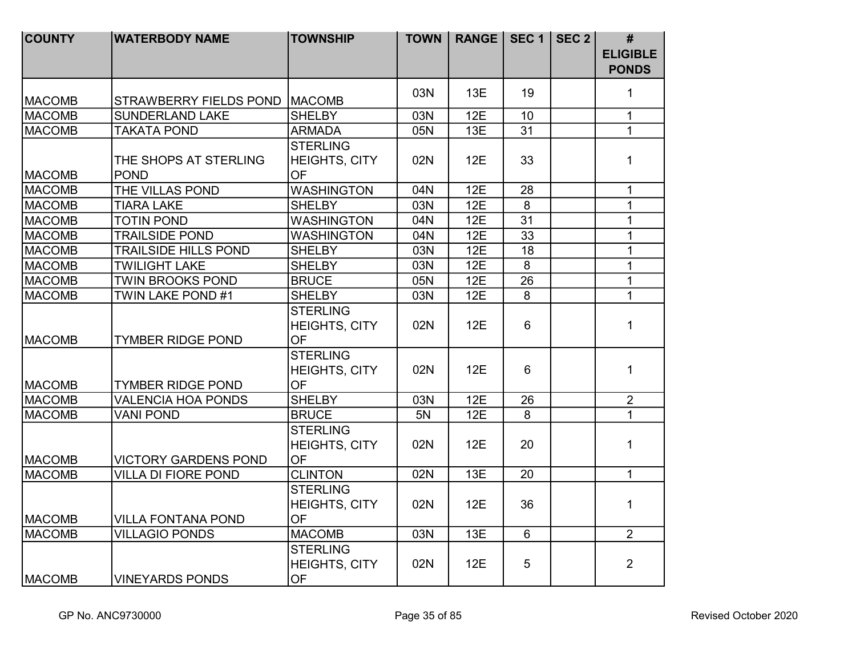| <b>COUNTY</b> | <b>WATERBODY NAME</b>                | <b>TOWNSHIP</b>                                      | <b>TOWN</b> | <b>RANGE</b> |                 | SEC 1   SEC 2 $ $ | #<br><b>ELIGIBLE</b><br><b>PONDS</b> |
|---------------|--------------------------------------|------------------------------------------------------|-------------|--------------|-----------------|-------------------|--------------------------------------|
|               |                                      |                                                      | 03N         | 13E          | 19              |                   |                                      |
| <b>MACOMB</b> | STRAWBERRY FIELDS POND   MACOMB      |                                                      |             |              |                 |                   | 1                                    |
| <b>MACOMB</b> | <b>SUNDERLAND LAKE</b>               | <b>SHELBY</b>                                        | 03N         | 12E          | 10              |                   | $\mathbf{1}$                         |
| <b>MACOMB</b> | <b>TAKATA POND</b>                   | <b>ARMADA</b>                                        | 05N         | 13E          | 31              |                   | $\mathbf{1}$                         |
|               |                                      | <b>STERLING</b>                                      |             |              |                 |                   |                                      |
| <b>MACOMB</b> | THE SHOPS AT STERLING<br><b>POND</b> | <b>HEIGHTS, CITY</b><br><b>OF</b>                    | 02N         | 12E          | 33              |                   | 1                                    |
| <b>MACOMB</b> | THE VILLAS POND                      | <b>WASHINGTON</b>                                    | 04N         | 12E          | 28              |                   | $\mathbf{1}$                         |
| <b>MACOMB</b> | <b>TIARA LAKE</b>                    | <b>SHELBY</b>                                        | 03N         | 12E          | 8               |                   | $\mathbf{1}$                         |
| <b>MACOMB</b> | <b>TOTIN POND</b>                    | <b>WASHINGTON</b>                                    | 04N         | 12E          | 31              |                   | $\mathbf{1}$                         |
| <b>MACOMB</b> | <b>TRAILSIDE POND</b>                | <b>WASHINGTON</b>                                    | 04N         | 12E          | $\overline{33}$ |                   | $\mathbf{1}$                         |
| <b>MACOMB</b> | <b>TRAILSIDE HILLS POND</b>          | <b>SHELBY</b>                                        | 03N         | 12E          | 18              |                   | $\mathbf{1}$                         |
| <b>MACOMB</b> | <b>TWILIGHT LAKE</b>                 | <b>SHELBY</b>                                        | 03N         | 12E          | $\overline{8}$  |                   | $\mathbf{1}$                         |
| <b>MACOMB</b> | <b>TWIN BROOKS POND</b>              | <b>BRUCE</b>                                         | 05N         | 12E          | 26              |                   | $\mathbf{1}$                         |
| <b>MACOMB</b> | TWIN LAKE POND #1                    | <b>SHELBY</b>                                        | 03N         | 12E          | 8               |                   | $\mathbf{1}$                         |
| <b>MACOMB</b> | <b>TYMBER RIDGE POND</b>             | <b>STERLING</b><br><b>HEIGHTS, CITY</b><br><b>OF</b> | 02N         | 12E          | $6\phantom{1}$  |                   | $\mathbf{1}$                         |
| <b>MACOMB</b> | <b>TYMBER RIDGE POND</b>             | <b>STERLING</b><br><b>HEIGHTS, CITY</b><br><b>OF</b> | 02N         | 12E          | $6\phantom{1}$  |                   | $\mathbf{1}$                         |
| <b>MACOMB</b> | <b>VALENCIA HOA PONDS</b>            | <b>SHELBY</b>                                        | 03N         | 12E          | 26              |                   | $\overline{2}$                       |
| <b>MACOMB</b> | <b>VANI POND</b>                     | <b>BRUCE</b>                                         | 5N          | 12E          | 8               |                   | $\mathbf{1}$                         |
| <b>MACOMB</b> | <b>VICTORY GARDENS POND</b>          | <b>STERLING</b><br><b>HEIGHTS, CITY</b><br><b>OF</b> | 02N         | 12E          | 20              |                   | $\mathbf{1}$                         |
| <b>MACOMB</b> | <b>VILLA DI FIORE POND</b>           | <b>CLINTON</b>                                       | 02N         | 13E          | 20              |                   | $\mathbf{1}$                         |
| <b>MACOMB</b> | <b>VILLA FONTANA POND</b>            | <b>STERLING</b><br><b>HEIGHTS, CITY</b><br><b>OF</b> | 02N         | 12E          | 36              |                   | $\mathbf{1}$                         |
| <b>MACOMB</b> | <b>VILLAGIO PONDS</b>                | <b>MACOMB</b>                                        | 03N         | 13E          | $6\phantom{1}$  |                   | $\overline{2}$                       |
| <b>MACOMB</b> | <b>VINEYARDS PONDS</b>               | <b>STERLING</b><br>HEIGHTS, CITY<br><b>OF</b>        | 02N         | 12E          | 5               |                   | $\overline{2}$                       |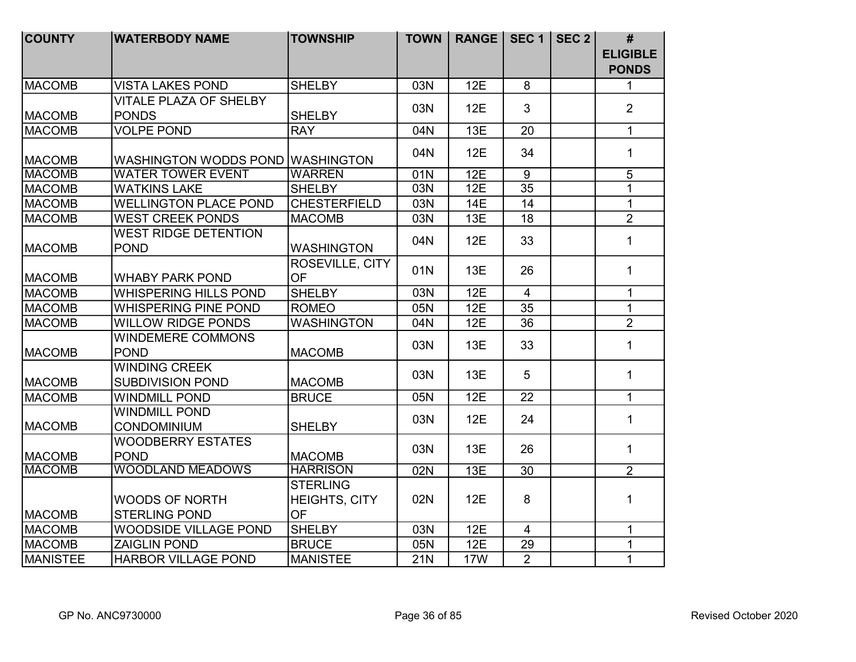| <b>COUNTY</b>   | <b>WATERBODY NAME</b>                           | <b>TOWNSHIP</b>                                      | <b>TOWN</b> | <b>RANGE</b> | SEC <sub>1</sub> | SEC <sub>2</sub> | #                               |
|-----------------|-------------------------------------------------|------------------------------------------------------|-------------|--------------|------------------|------------------|---------------------------------|
|                 |                                                 |                                                      |             |              |                  |                  | <b>ELIGIBLE</b><br><b>PONDS</b> |
| <b>MACOMB</b>   | <b>VISTA LAKES POND</b>                         | <b>SHELBY</b>                                        | 03N         | 12E          | 8                |                  | $\mathbf{1}$                    |
| <b>MACOMB</b>   | <b>VITALE PLAZA OF SHELBY</b><br><b>PONDS</b>   | <b>SHELBY</b>                                        | 03N         | 12E          | $\mathbf{3}$     |                  | $\overline{2}$                  |
| <b>MACOMB</b>   | <b>VOLPE POND</b>                               | <b>RAY</b>                                           | 04N         | 13E          | 20               |                  | $\mathbf{1}$                    |
| <b>MACOMB</b>   | WASHINGTON WODDS POND WASHINGTON                |                                                      | 04N         | 12E          | 34               |                  | $\mathbf{1}$                    |
| <b>MACOMB</b>   | <b>WATER TOWER EVENT</b>                        | <b>WARREN</b>                                        | 01N         | 12E          | $\overline{9}$   |                  | $\overline{5}$                  |
| <b>MACOMB</b>   | <b>WATKINS LAKE</b>                             | <b>SHELBY</b>                                        | 03N         | 12E          | $\overline{35}$  |                  | $\overline{1}$                  |
| <b>MACOMB</b>   | <b>WELLINGTON PLACE POND</b>                    | <b>CHESTERFIELD</b>                                  | 03N         | 14E          | 14               |                  | $\mathbf{1}$                    |
| <b>MACOMB</b>   | <b>WEST CREEK PONDS</b>                         | <b>MACOMB</b>                                        | 03N         | 13E          | 18               |                  | $\overline{2}$                  |
| <b>MACOMB</b>   | <b>WEST RIDGE DETENTION</b><br><b>POND</b>      | <b>WASHINGTON</b>                                    | 04N         | 12E          | 33               |                  | $\mathbf{1}$                    |
| <b>MACOMB</b>   | <b>WHABY PARK POND</b>                          | ROSEVILLE, CITY<br><b>OF</b>                         | 01N         | 13E          | 26               |                  | 1                               |
| <b>MACOMB</b>   | <b>WHISPERING HILLS POND</b>                    | <b>SHELBY</b>                                        | 03N         | 12E          | $\overline{4}$   |                  | $\mathbf{1}$                    |
| <b>MACOMB</b>   | <b>WHISPERING PINE POND</b>                     | <b>ROMEO</b>                                         | 05N         | 12E          | 35               |                  | $\mathbf{1}$                    |
| <b>MACOMB</b>   | <b>WILLOW RIDGE PONDS</b>                       | <b>WASHINGTON</b>                                    | 04N         | 12E          | 36               |                  | $\overline{2}$                  |
| <b>MACOMB</b>   | <b>WINDEMERE COMMONS</b><br><b>POND</b>         | <b>MACOMB</b>                                        | 03N         | 13E          | 33               |                  | $\mathbf{1}$                    |
| <b>MACOMB</b>   | <b>WINDING CREEK</b><br><b>SUBDIVISION POND</b> | <b>MACOMB</b>                                        | 03N         | 13E          | 5                |                  | $\mathbf{1}$                    |
| <b>MACOMB</b>   | <b>WINDMILL POND</b>                            | <b>BRUCE</b>                                         | 05N         | 12E          | 22               |                  | $\mathbf{1}$                    |
| <b>MACOMB</b>   | <b>WINDMILL POND</b><br><b>CONDOMINIUM</b>      | <b>SHELBY</b>                                        | 03N         | 12E          | 24               |                  | $\mathbf{1}$                    |
| <b>MACOMB</b>   | <b>WOODBERRY ESTATES</b><br><b>POND</b>         | <b>MACOMB</b>                                        | 03N         | 13E          | 26               |                  | $\mathbf{1}$                    |
| <b>MACOMB</b>   | <b>WOODLAND MEADOWS</b>                         | <b>HARRISON</b>                                      | 02N         | 13E          | 30               |                  | $\overline{2}$                  |
| <b>MACOMB</b>   | <b>WOODS OF NORTH</b><br><b>STERLING POND</b>   | <b>STERLING</b><br><b>HEIGHTS, CITY</b><br><b>OF</b> | 02N         | 12E          | 8                |                  | 1                               |
| <b>MACOMB</b>   | <b>WOODSIDE VILLAGE POND</b>                    | <b>SHELBY</b>                                        | 03N         | 12E          | $\overline{4}$   |                  | $\mathbf{1}$                    |
| <b>MACOMB</b>   | <b>ZAIGLIN POND</b>                             | <b>BRUCE</b>                                         | 05N         | 12E          | 29               |                  | $\mathbf{1}$                    |
| <b>MANISTEE</b> | <b>HARBOR VILLAGE POND</b>                      | <b>MANISTEE</b>                                      | <b>21N</b>  | <b>17W</b>   | $\overline{2}$   |                  | $\mathbf{1}$                    |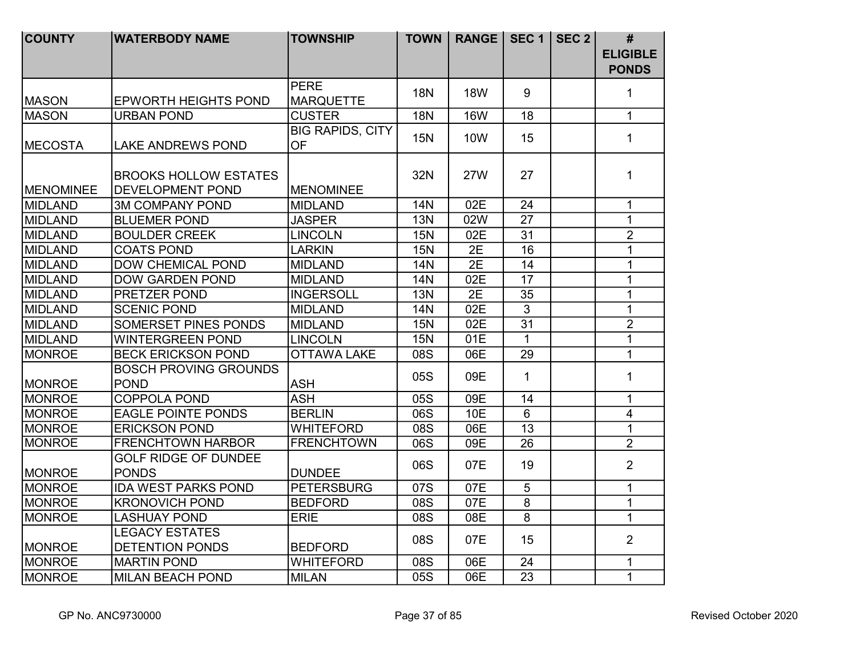| <b>COUNTY</b>    | <b>WATERBODY NAME</b>                                   | <b>TOWNSHIP</b>                      | <b>TOWN</b> | <b>RANGE</b> | SEC <sub>1</sub> | SEC $2$ | #               |
|------------------|---------------------------------------------------------|--------------------------------------|-------------|--------------|------------------|---------|-----------------|
|                  |                                                         |                                      |             |              |                  |         | <b>ELIGIBLE</b> |
|                  |                                                         |                                      |             |              |                  |         | <b>PONDS</b>    |
| <b>MASON</b>     | <b>EPWORTH HEIGHTS POND</b>                             | <b>PERE</b><br><b>MARQUETTE</b>      | <b>18N</b>  | <b>18W</b>   | 9                |         | 1               |
| <b>MASON</b>     | <b>URBAN POND</b>                                       | <b>CUSTER</b>                        | <b>18N</b>  | <b>16W</b>   | 18               |         | $\mathbf{1}$    |
| <b>MECOSTA</b>   | <b>LAKE ANDREWS POND</b>                                | <b>BIG RAPIDS, CITY</b><br><b>OF</b> | <b>15N</b>  | <b>10W</b>   | 15               |         | $\mathbf{1}$    |
| <b>MENOMINEE</b> | <b>BROOKS HOLLOW ESTATES</b><br><b>DEVELOPMENT POND</b> | <b>MENOMINEE</b>                     | 32N         | 27W          | 27               |         | $\mathbf{1}$    |
| MIDLAND          | <b>3M COMPANY POND</b>                                  | <b>MIDLAND</b>                       | <b>14N</b>  | 02E          | 24               |         | $\mathbf{1}$    |
| <b>MIDLAND</b>   | <b>BLUEMER POND</b>                                     | <b>JASPER</b>                        | <b>13N</b>  | 02W          | 27               |         | $\mathbf{1}$    |
| <b>MIDLAND</b>   | <b>BOULDER CREEK</b>                                    | <b>LINCOLN</b>                       | <b>15N</b>  | 02E          | 31               |         | $\overline{2}$  |
| MIDLAND          | <b>COATS POND</b>                                       | <b>LARKIN</b>                        | <b>15N</b>  | 2E           | 16               |         | 1               |
| MIDLAND          | <b>DOW CHEMICAL POND</b>                                | <b>MIDLAND</b>                       | <b>14N</b>  | 2E           | 14               |         | $\mathbf{1}$    |
| MIDLAND          | <b>DOW GARDEN POND</b>                                  | <b>MIDLAND</b>                       | <b>14N</b>  | 02E          | 17               |         | 1               |
| MIDLAND          | PRETZER POND                                            | <b>INGERSOLL</b>                     | <b>13N</b>  | 2E           | 35               |         | $\mathbf{1}$    |
| MIDLAND          | <b>SCENIC POND</b>                                      | <b>MIDLAND</b>                       | <b>14N</b>  | 02E          | $\overline{3}$   |         | $\mathbf{1}$    |
| MIDLAND          | <b>SOMERSET PINES PONDS</b>                             | <b>MIDLAND</b>                       | <b>15N</b>  | 02E          | 31               |         | $\overline{2}$  |
| <b>MIDLAND</b>   | <b>WINTERGREEN POND</b>                                 | <b>LINCOLN</b>                       | <b>15N</b>  | 01E          | $\mathbf{1}$     |         | $\mathbf{1}$    |
| MONROE           | <b>BECK ERICKSON POND</b>                               | <b>OTTAWA LAKE</b>                   | 08S         | 06E          | 29               |         | $\mathbf{1}$    |
| <b>MONROE</b>    | <b>BOSCH PROVING GROUNDS</b><br><b>POND</b>             | <b>ASH</b>                           | 05S         | 09E          | $\mathbf 1$      |         | 1               |
| <b>MONROE</b>    | <b>COPPOLA POND</b>                                     | <b>ASH</b>                           | 05S         | 09E          | 14               |         | $\mathbf{1}$    |
| <b>MONROE</b>    | <b>EAGLE POINTE PONDS</b>                               | <b>BERLIN</b>                        | 06S         | <b>10E</b>   | $6\phantom{1}$   |         | $\overline{4}$  |
| <b>MONROE</b>    | <b>ERICKSON POND</b>                                    | <b>WHITEFORD</b>                     | 08S         | 06E          | 13               |         | $\mathbf{1}$    |
| <b>MONROE</b>    | <b>FRENCHTOWN HARBOR</b>                                | <b>FRENCHTOWN</b>                    | 06S         | 09E          | 26               |         | $\overline{2}$  |
| <b>MONROE</b>    | <b>GOLF RIDGE OF DUNDEE</b><br><b>PONDS</b>             | <b>DUNDEE</b>                        | 06S         | 07E          | 19               |         | $\overline{2}$  |
| <b>MONROE</b>    | <b>IDA WEST PARKS POND</b>                              | <b>PETERSBURG</b>                    | 07S         | 07E          | 5                |         | $\mathbf{1}$    |
| <b>MONROE</b>    | <b>KRONOVICH POND</b>                                   | <b>BEDFORD</b>                       | 08S         | 07E          | 8                |         | $\mathbf{1}$    |
| <b>MONROE</b>    | <b>LASHUAY POND</b>                                     | <b>ERIE</b>                          | 08S         | 08E          | 8                |         | $\mathbf{1}$    |
| <b>MONROE</b>    | <b>LEGACY ESTATES</b><br><b>DETENTION PONDS</b>         | <b>BEDFORD</b>                       | 08S         | 07E          | 15               |         | $\overline{2}$  |
| <b>MONROE</b>    | <b>MARTIN POND</b>                                      | <b>WHITEFORD</b>                     | 08S         | 06E          | 24               |         | $\mathbf{1}$    |
| <b>MONROE</b>    | <b>MILAN BEACH POND</b>                                 | <b>MILAN</b>                         | 05S         | 06E          | 23               |         | $\mathbf{1}$    |